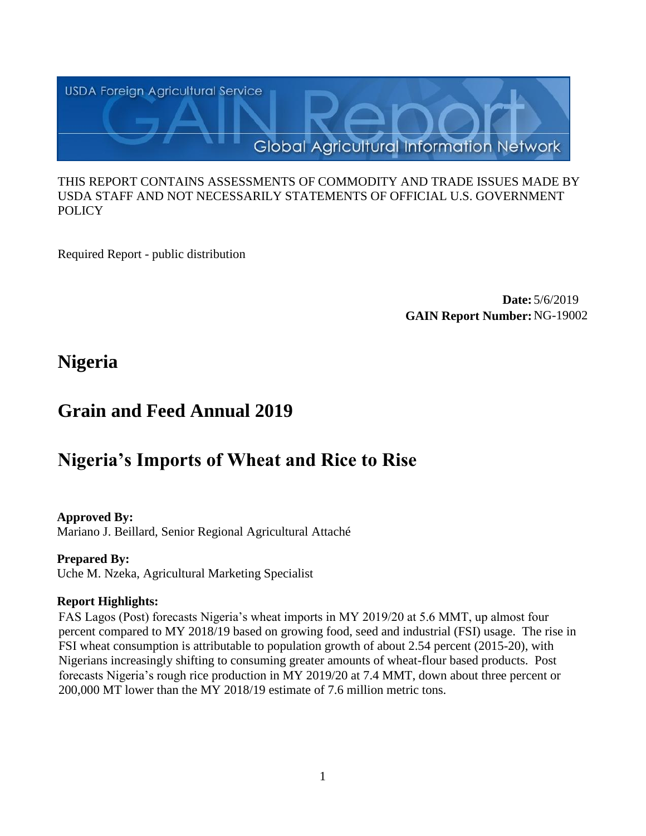

#### THIS REPORT CONTAINS ASSESSMENTS OF COMMODITY AND TRADE ISSUES MADE BY USDA STAFF AND NOT NECESSARILY STATEMENTS OF OFFICIAL U.S. GOVERNMENT **POLICY**

Required Report - public distribution

**Date:** 5/6/2019 **GAIN Report Number:** NG-19002

## **Nigeria**

## **Grain and Feed Annual 2019**

# **Nigeria's Imports of Wheat and Rice to Rise**

## **Approved By:**

Mariano J. Beillard, Senior Regional Agricultural Attaché

## **Prepared By:**

Uche M. Nzeka, Agricultural Marketing Specialist

## **Report Highlights:**

FAS Lagos (Post) forecasts Nigeria's wheat imports in MY 2019/20 at 5.6 MMT, up almost four percent compared to MY 2018/19 based on growing food, seed and industrial (FSI) usage. The rise in FSI wheat consumption is attributable to population growth of about 2.54 percent (2015-20), with Nigerians increasingly shifting to consuming greater amounts of wheat-flour based products. Post forecasts Nigeria's rough rice production in MY 2019/20 at 7.4 MMT, down about three percent or 200,000 MT lower than the MY 2018/19 estimate of 7.6 million metric tons.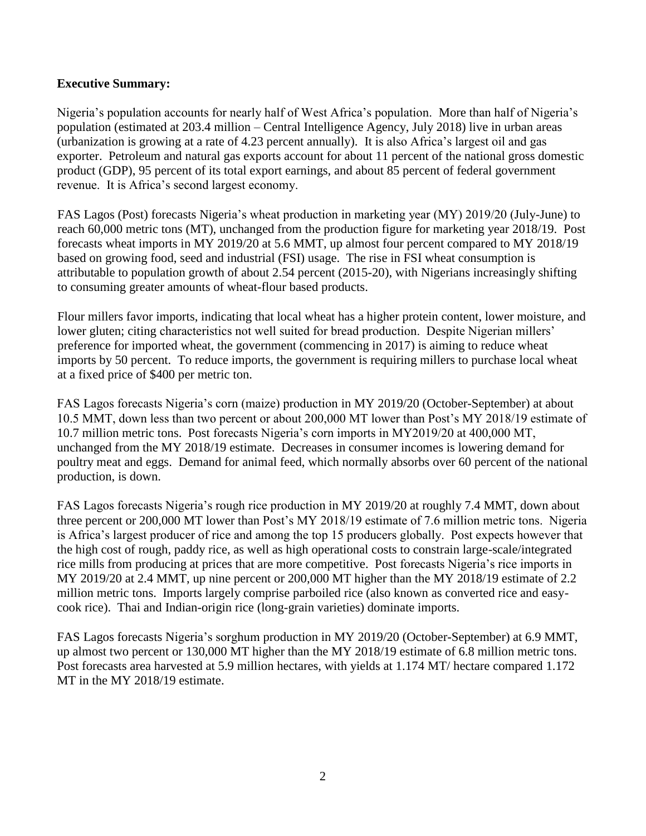#### **Executive Summary:**

Nigeria's population accounts for nearly half of West Africa's population. More than half of Nigeria's population (estimated at 203.4 million – Central Intelligence Agency, July 2018) live in urban areas (urbanization is growing at a rate of 4.23 percent annually). It is also Africa's largest oil and gas exporter. Petroleum and natural gas exports account for about 11 percent of the national gross domestic product (GDP), 95 percent of its total export earnings, and about 85 percent of federal government revenue. It is Africa's second largest economy.

FAS Lagos (Post) forecasts Nigeria's wheat production in marketing year (MY) 2019/20 (July-June) to reach 60,000 metric tons (MT), unchanged from the production figure for marketing year 2018/19. Post forecasts wheat imports in MY 2019/20 at 5.6 MMT, up almost four percent compared to MY 2018/19 based on growing food, seed and industrial (FSI) usage. The rise in FSI wheat consumption is attributable to population growth of about 2.54 percent (2015-20), with Nigerians increasingly shifting to consuming greater amounts of wheat-flour based products.

Flour millers favor imports, indicating that local wheat has a higher protein content, lower moisture, and lower gluten; citing characteristics not well suited for bread production. Despite Nigerian millers' preference for imported wheat, the government (commencing in 2017) is aiming to reduce wheat imports by 50 percent. To reduce imports, the government is requiring millers to purchase local wheat at a fixed price of \$400 per metric ton.

FAS Lagos forecasts Nigeria's corn (maize) production in MY 2019/20 (October-September) at about 10.5 MMT, down less than two percent or about 200,000 MT lower than Post's MY 2018/19 estimate of 10.7 million metric tons. Post forecasts Nigeria's corn imports in MY2019/20 at 400,000 MT, unchanged from the MY 2018/19 estimate. Decreases in consumer incomes is lowering demand for poultry meat and eggs. Demand for animal feed, which normally absorbs over 60 percent of the national production, is down.

FAS Lagos forecasts Nigeria's rough rice production in MY 2019/20 at roughly 7.4 MMT, down about three percent or 200,000 MT lower than Post's MY 2018/19 estimate of 7.6 million metric tons. Nigeria is Africa's largest producer of rice and among the top 15 producers globally. Post expects however that the high cost of rough, paddy rice, as well as high operational costs to constrain large-scale/integrated rice mills from producing at prices that are more competitive. Post forecasts Nigeria's rice imports in MY 2019/20 at 2.4 MMT, up nine percent or 200,000 MT higher than the MY 2018/19 estimate of 2.2 million metric tons. Imports largely comprise parboiled rice (also known as converted rice and easycook rice). Thai and Indian-origin rice (long-grain varieties) dominate imports.

FAS Lagos forecasts Nigeria's sorghum production in MY 2019/20 (October-September) at 6.9 MMT, up almost two percent or 130,000 MT higher than the MY 2018/19 estimate of 6.8 million metric tons. Post forecasts area harvested at 5.9 million hectares, with yields at 1.174 MT/ hectare compared 1.172 MT in the MY 2018/19 estimate.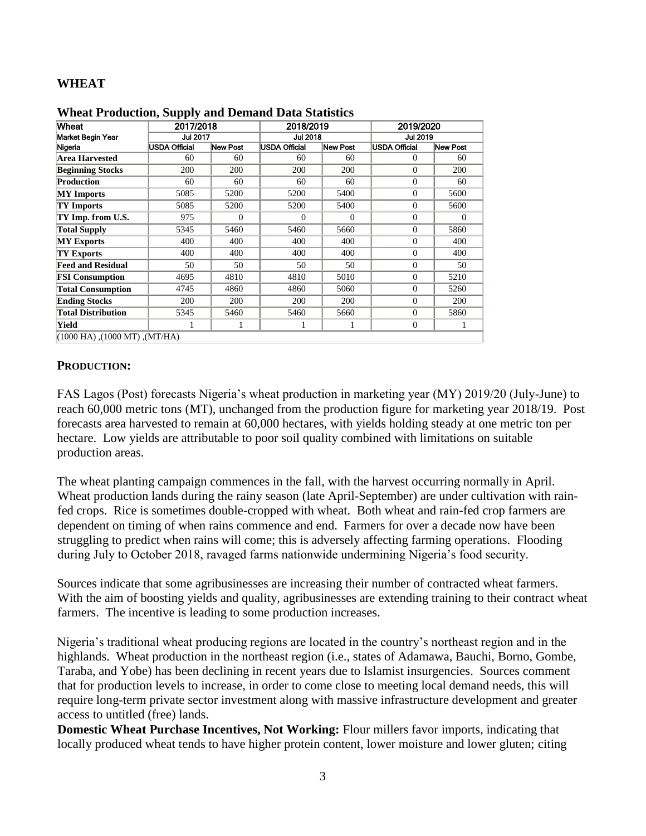#### **WHEAT**

| Wheat                               | 2017/2018<br><b>Jul 2017</b> |          | 2018/2019<br><b>Jul 2018</b> |          | 2019/2020<br><b>Jul 2019</b> |            |  |
|-------------------------------------|------------------------------|----------|------------------------------|----------|------------------------------|------------|--|
| Market Begin Year                   |                              |          |                              |          |                              |            |  |
| Nigeria                             | <b>USDA Official</b>         | New Post | <b>USDA Official</b>         | New Post | <b>USDA Official</b>         | New Post   |  |
| <b>Area Harvested</b>               | 60                           | 60       | 60                           | 60       | $\Omega$                     | 60         |  |
| <b>Beginning Stocks</b>             | 200                          | 200      | 200                          | 200      | $\Omega$                     | 200        |  |
| <b>Production</b>                   | 60                           | 60       | 60                           | 60       | $\Omega$                     | 60         |  |
| <b>MY</b> Imports                   | 5085                         | 5200     | 5200                         | 5400     | $\Omega$                     | 5600       |  |
| <b>TY Imports</b>                   | 5085                         | 5200     | 5200                         | 5400     | $\Omega$                     | 5600       |  |
| TY Imp. from U.S.                   | 975                          | $\Omega$ | $\Omega$                     | $\Omega$ | $\Omega$                     | $\Omega$   |  |
| <b>Total Supply</b>                 | 5345                         | 5460     | 5460                         | 5660     | $\Omega$                     | 5860       |  |
| <b>MY Exports</b>                   | 400                          | 400      | 400                          | 400      | $\Omega$                     | 400        |  |
| TY Exports                          | 400                          | 400      | 400                          | 400      | $\Omega$                     | 400        |  |
| <b>Feed and Residual</b>            | 50                           | 50       | 50                           | 50       | $\Omega$                     | 50         |  |
| <b>FSI Consumption</b>              | 4695                         | 4810     | 4810                         | 5010     | $\Omega$                     | 5210       |  |
| <b>Total Consumption</b>            | 4745                         | 4860     | 4860                         | 5060     | $\Omega$                     | 5260       |  |
| <b>Ending Stocks</b>                | 200                          | 200      | 200                          | 200      | $\Omega$                     | <b>200</b> |  |
| <b>Total Distribution</b>           | 5345                         | 5460     | 5460                         | 5660     | $\Omega$                     | 5860       |  |
| Yield                               |                              | 1        |                              |          | $\mathbf{0}$                 |            |  |
| $(1000$ HA), $(1000$ MT), $(MT/HA)$ |                              |          |                              |          |                              |            |  |

**Wheat Production, Supply and Demand Data Statistics**

#### **PRODUCTION:**

FAS Lagos (Post) forecasts Nigeria's wheat production in marketing year (MY) 2019/20 (July-June) to reach 60,000 metric tons (MT), unchanged from the production figure for marketing year 2018/19. Post forecasts area harvested to remain at 60,000 hectares, with yields holding steady at one metric ton per hectare. Low yields are attributable to poor soil quality combined with limitations on suitable production areas.

The wheat planting campaign commences in the fall, with the harvest occurring normally in April. Wheat production lands during the rainy season (late April-September) are under cultivation with rainfed crops. Rice is sometimes double-cropped with wheat. Both wheat and rain-fed crop farmers are dependent on timing of when rains commence and end. Farmers for over a decade now have been struggling to predict when rains will come; this is adversely affecting farming operations. Flooding during July to October 2018, ravaged farms nationwide undermining Nigeria's food security.

Sources indicate that some agribusinesses are increasing their number of contracted wheat farmers. With the aim of boosting yields and quality, agribusinesses are extending training to their contract wheat farmers. The incentive is leading to some production increases.

Nigeria's traditional wheat producing regions are located in the country's northeast region and in the highlands. Wheat production in the northeast region (i.e., states of Adamawa, Bauchi, Borno, Gombe, Taraba, and Yobe) has been declining in recent years due to Islamist insurgencies. Sources comment that for production levels to increase, in order to come close to meeting local demand needs, this will require long-term private sector investment along with massive infrastructure development and greater access to untitled (free) lands.

**Domestic Wheat Purchase Incentives, Not Working:** Flour millers favor imports, indicating that locally produced wheat tends to have higher protein content, lower moisture and lower gluten; citing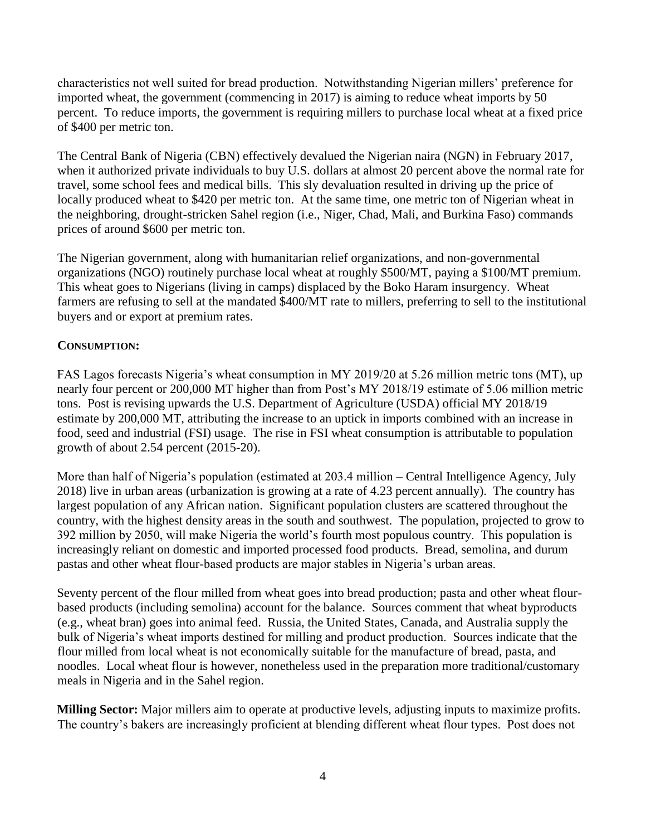characteristics not well suited for bread production. Notwithstanding Nigerian millers' preference for imported wheat, the government (commencing in 2017) is aiming to reduce wheat imports by 50 percent. To reduce imports, the government is requiring millers to purchase local wheat at a fixed price of \$400 per metric ton.

The Central Bank of Nigeria (CBN) effectively devalued the Nigerian naira (NGN) in February 2017, when it authorized private individuals to buy U.S. dollars at almost 20 percent above the normal rate for travel, some school fees and medical bills. This sly devaluation resulted in driving up the price of locally produced wheat to \$420 per metric ton. At the same time, one metric ton of Nigerian wheat in the neighboring, drought-stricken Sahel region (i.e., Niger, Chad, Mali, and Burkina Faso) commands prices of around \$600 per metric ton.

The Nigerian government, along with humanitarian relief organizations, and non-governmental organizations (NGO) routinely purchase local wheat at roughly \$500/MT, paying a \$100/MT premium. This wheat goes to Nigerians (living in camps) displaced by the Boko Haram insurgency. Wheat farmers are refusing to sell at the mandated \$400/MT rate to millers, preferring to sell to the institutional buyers and or export at premium rates.

## **CONSUMPTION:**

FAS Lagos forecasts Nigeria's wheat consumption in MY 2019/20 at 5.26 million metric tons (MT), up nearly four percent or 200,000 MT higher than from Post's MY 2018/19 estimate of 5.06 million metric tons. Post is revising upwards the U.S. Department of Agriculture (USDA) official MY 2018/19 estimate by 200,000 MT, attributing the increase to an uptick in imports combined with an increase in food, seed and industrial (FSI) usage. The rise in FSI wheat consumption is attributable to population growth of about 2.54 percent (2015-20).

More than half of Nigeria's population (estimated at 203.4 million – Central Intelligence Agency, July 2018) live in urban areas (urbanization is growing at a rate of 4.23 percent annually). The country has largest population of any African nation. Significant population clusters are scattered throughout the country, with the highest density areas in the south and southwest. The population, projected to grow to 392 million by 2050, will make Nigeria the world's fourth most populous country. This population is increasingly reliant on domestic and imported processed food products. Bread, semolina, and durum pastas and other wheat flour-based products are major stables in Nigeria's urban areas.

Seventy percent of the flour milled from wheat goes into bread production; pasta and other wheat flourbased products (including semolina) account for the balance. Sources comment that wheat byproducts (e.g., wheat bran) goes into animal feed. Russia, the United States, Canada, and Australia supply the bulk of Nigeria's wheat imports destined for milling and product production. Sources indicate that the flour milled from local wheat is not economically suitable for the manufacture of bread, pasta, and noodles. Local wheat flour is however, nonetheless used in the preparation more traditional/customary meals in Nigeria and in the Sahel region.

**Milling Sector:** Major millers aim to operate at productive levels, adjusting inputs to maximize profits. The country's bakers are increasingly proficient at blending different wheat flour types. Post does not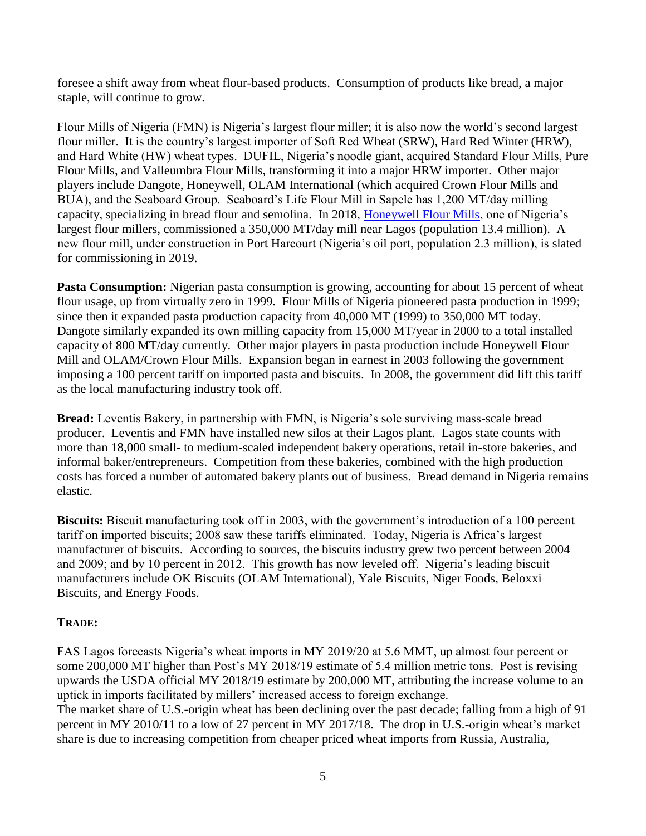foresee a shift away from wheat flour-based products. Consumption of products like bread, a major staple, will continue to grow.

Flour Mills of Nigeria (FMN) is Nigeria's largest flour miller; it is also now the world's second largest flour miller. It is the country's largest importer of Soft Red Wheat (SRW), Hard Red Winter (HRW), and Hard White (HW) wheat types. DUFIL, Nigeria's noodle giant, acquired Standard Flour Mills, Pure Flour Mills, and Valleumbra Flour Mills, transforming it into a major HRW importer. Other major players include Dangote, Honeywell, OLAM International (which acquired Crown Flour Mills and BUA), and the Seaboard Group. Seaboard's Life Flour Mill in Sapele has 1,200 MT/day milling capacity, specializing in bread flour and semolina. In 2018, [Honeywell Flour Mills,](http://www.honeywellflour.com/) one of Nigeria's largest flour millers, commissioned a 350,000 MT/day mill near Lagos (population 13.4 million). A new flour mill, under construction in Port Harcourt (Nigeria's oil port, population 2.3 million), is slated for commissioning in 2019.

**Pasta Consumption:** Nigerian pasta consumption is growing, accounting for about 15 percent of wheat flour usage, up from virtually zero in 1999. Flour Mills of Nigeria pioneered pasta production in 1999; since then it expanded pasta production capacity from 40,000 MT (1999) to 350,000 MT today. Dangote similarly expanded its own milling capacity from 15,000 MT/year in 2000 to a total installed capacity of 800 MT/day currently. Other major players in pasta production include Honeywell Flour Mill and OLAM/Crown Flour Mills. Expansion began in earnest in 2003 following the government imposing a 100 percent tariff on imported pasta and biscuits. In 2008, the government did lift this tariff as the local manufacturing industry took off.

**Bread:** Leventis Bakery, in partnership with FMN, is Nigeria's sole surviving mass-scale bread producer. Leventis and FMN have installed new silos at their Lagos plant. Lagos state counts with more than 18,000 small- to medium-scaled independent bakery operations, retail in-store bakeries, and informal baker/entrepreneurs. Competition from these bakeries, combined with the high production costs has forced a number of automated bakery plants out of business. Bread demand in Nigeria remains elastic.

**Biscuits:** Biscuit manufacturing took off in 2003, with the government's introduction of a 100 percent tariff on imported biscuits; 2008 saw these tariffs eliminated. Today, Nigeria is Africa's largest manufacturer of biscuits. According to sources, the biscuits industry grew two percent between 2004 and 2009; and by 10 percent in 2012. This growth has now leveled off. Nigeria's leading biscuit manufacturers include OK Biscuits (OLAM International), Yale Biscuits, Niger Foods, Beloxxi Biscuits, and Energy Foods.

## **TRADE:**

FAS Lagos forecasts Nigeria's wheat imports in MY 2019/20 at 5.6 MMT, up almost four percent or some 200,000 MT higher than Post's MY 2018/19 estimate of 5.4 million metric tons. Post is revising upwards the USDA official MY 2018/19 estimate by 200,000 MT, attributing the increase volume to an uptick in imports facilitated by millers' increased access to foreign exchange. The market share of U.S.-origin wheat has been declining over the past decade; falling from a high of 91 percent in MY 2010/11 to a low of 27 percent in MY 2017/18. The drop in U.S.-origin wheat's market share is due to increasing competition from cheaper priced wheat imports from Russia, Australia,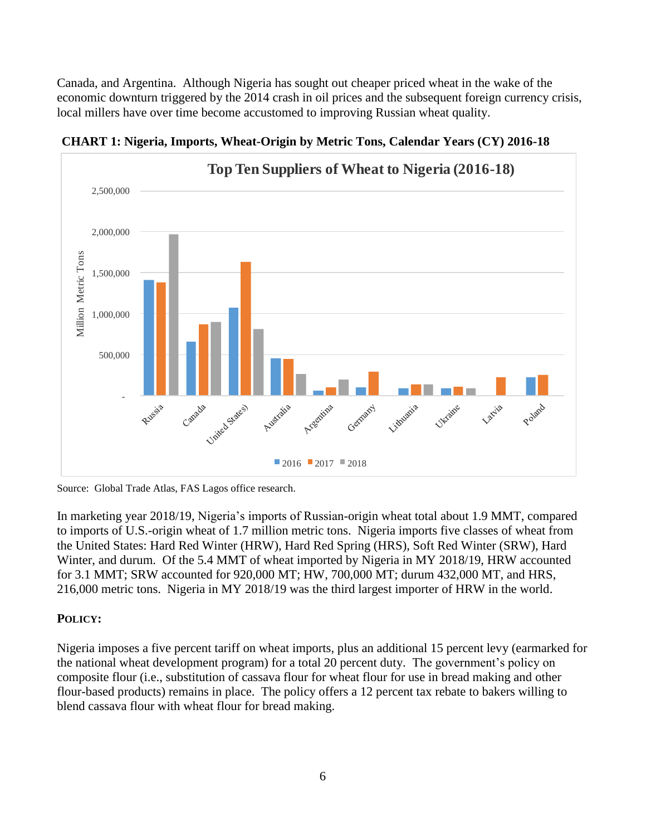Canada, and Argentina. Although Nigeria has sought out cheaper priced wheat in the wake of the economic downturn triggered by the 2014 crash in oil prices and the subsequent foreign currency crisis, local millers have over time become accustomed to improving Russian wheat quality.



**CHART 1: Nigeria, Imports, Wheat-Origin by Metric Tons, Calendar Years (CY) 2016-18**

Source: Global Trade Atlas, FAS Lagos office research.

In marketing year 2018/19, Nigeria's imports of Russian-origin wheat total about 1.9 MMT, compared to imports of U.S.-origin wheat of 1.7 million metric tons. Nigeria imports five classes of wheat from the United States: Hard Red Winter (HRW), Hard Red Spring (HRS), Soft Red Winter (SRW), Hard Winter, and durum. Of the 5.4 MMT of wheat imported by Nigeria in MY 2018/19, HRW accounted for 3.1 MMT; SRW accounted for 920,000 MT; HW, 700,000 MT; durum 432,000 MT, and HRS, 216,000 metric tons. Nigeria in MY 2018/19 was the third largest importer of HRW in the world.

## **POLICY:**

Nigeria imposes a five percent tariff on wheat imports, plus an additional 15 percent levy (earmarked for the national wheat development program) for a total 20 percent duty. The government's policy on composite flour (i.e., substitution of cassava flour for wheat flour for use in bread making and other flour-based products) remains in place. The policy offers a 12 percent tax rebate to bakers willing to blend cassava flour with wheat flour for bread making.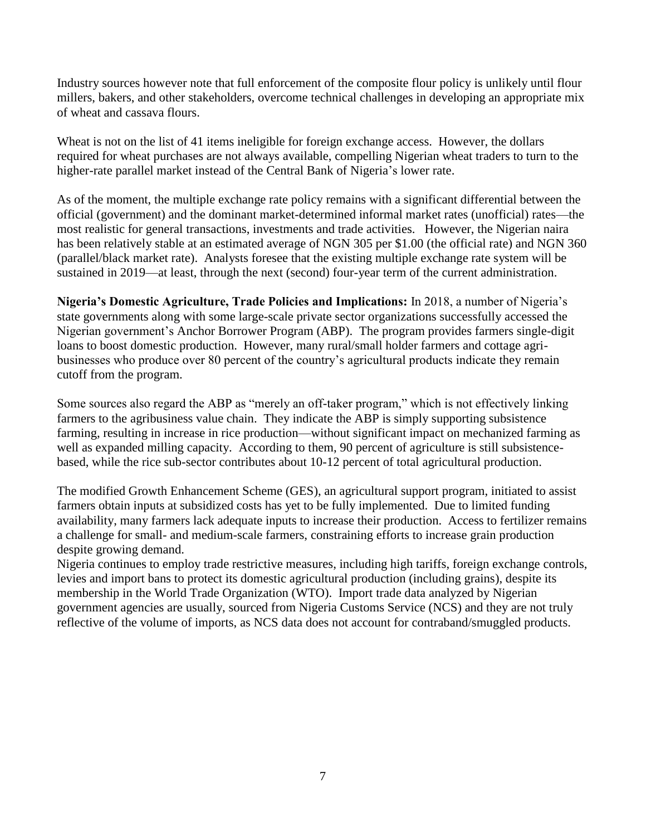Industry sources however note that full enforcement of the composite flour policy is unlikely until flour millers, bakers, and other stakeholders, overcome technical challenges in developing an appropriate mix of wheat and cassava flours.

Wheat is not on the list of 41 items ineligible for foreign exchange access. However, the dollars required for wheat purchases are not always available, compelling Nigerian wheat traders to turn to the higher-rate parallel market instead of the Central Bank of Nigeria's lower rate.

As of the moment, the multiple exchange rate policy remains with a significant differential between the official (government) and the dominant market-determined informal market rates (unofficial) rates—the most realistic for general transactions, investments and trade activities. However, the Nigerian naira has been relatively stable at an estimated average of NGN 305 per \$1.00 (the official rate) and NGN 360 (parallel/black market rate). Analysts foresee that the existing multiple exchange rate system will be sustained in 2019—at least, through the next (second) four-year term of the current administration.

**Nigeria's Domestic Agriculture, Trade Policies and Implications:** In 2018, a number of Nigeria's state governments along with some large-scale private sector organizations successfully accessed the Nigerian government's Anchor Borrower Program (ABP). The program provides farmers single-digit loans to boost domestic production. However, many rural/small holder farmers and cottage agribusinesses who produce over 80 percent of the country's agricultural products indicate they remain cutoff from the program.

Some sources also regard the ABP as "merely an off-taker program," which is not effectively linking farmers to the agribusiness value chain. They indicate the ABP is simply supporting subsistence farming, resulting in increase in rice production—without significant impact on mechanized farming as well as expanded milling capacity. According to them, 90 percent of agriculture is still subsistencebased, while the rice sub-sector contributes about 10-12 percent of total agricultural production.

The modified Growth Enhancement Scheme (GES), an agricultural support program, initiated to assist farmers obtain inputs at subsidized costs has yet to be fully implemented. Due to limited funding availability, many farmers lack adequate inputs to increase their production. Access to fertilizer remains a challenge for small- and medium-scale farmers, constraining efforts to increase grain production despite growing demand.

Nigeria continues to employ trade restrictive measures, including high tariffs, foreign exchange controls, levies and import bans to protect its domestic agricultural production (including grains), despite its membership in the World Trade Organization (WTO). Import trade data analyzed by Nigerian government agencies are usually, sourced from Nigeria Customs Service (NCS) and they are not truly reflective of the volume of imports, as NCS data does not account for contraband/smuggled products.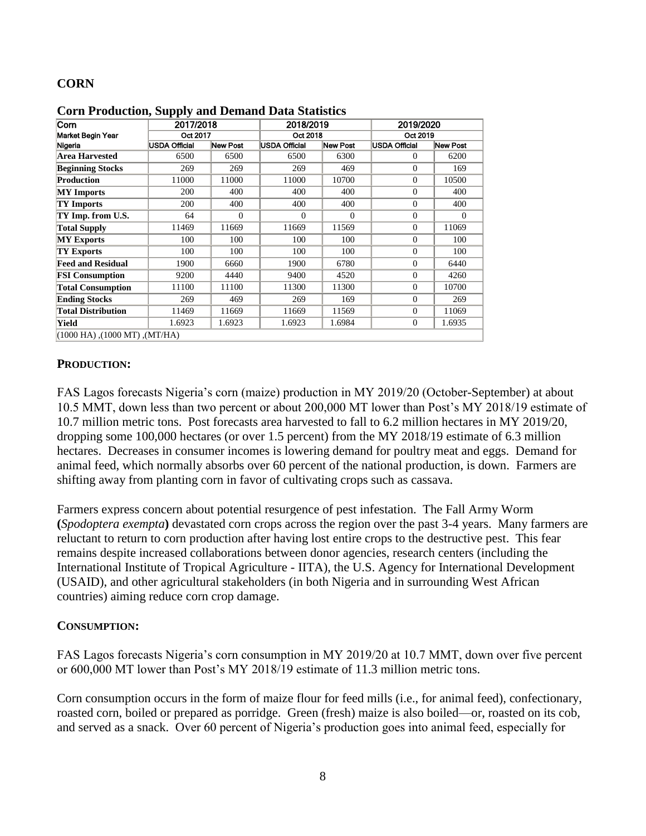## **CORN**

| Corn                                | 2017/2018<br>Oct 2017 |          | 2018/2019<br>Oct 2018 |          | 2019/2020<br>Oct 2019 |          |  |
|-------------------------------------|-----------------------|----------|-----------------------|----------|-----------------------|----------|--|
| Market Begin Year                   |                       |          |                       |          |                       |          |  |
| Nigeria                             | <b>USDA Official</b>  | New Post | <b>USDA Official</b>  | New Post | <b>USDA Official</b>  | New Post |  |
| <b>Area Harvested</b>               | 6500                  | 6500     | 6500                  | 6300     | 0                     | 6200     |  |
| <b>Beginning Stocks</b>             | 269                   | 269      | 269                   | 469      | $\theta$              | 169      |  |
| <b>Production</b>                   | 11000                 | 11000    | 11000                 | 10700    | 0                     | 10500    |  |
| <b>MY</b> Imports                   | 200                   | 400      | 400                   | 400      | $\theta$              | 400      |  |
| <b>TY Imports</b>                   | 200                   | 400      | 400                   | 400      | $\theta$              | 400      |  |
| TY Imp. from U.S.                   | 64                    | $\Omega$ | $\theta$              | $\theta$ | $\theta$              | $\Omega$ |  |
| <b>Total Supply</b>                 | 11469                 | 11669    | 11669                 | 11569    | $\theta$              | 11069    |  |
| <b>MY Exports</b>                   | 100                   | 100      | 100                   | 100      | $\theta$              | 100      |  |
| TY Exports                          | 100                   | 100      | 100                   | 100      | $\theta$              | 100      |  |
| <b>Feed and Residual</b>            | 1900                  | 6660     | 1900                  | 6780     | $\theta$              | 6440     |  |
| <b>FSI Consumption</b>              | 9200                  | 4440     | 9400                  | 4520     | $\theta$              | 4260     |  |
| <b>Total Consumption</b>            | 11100                 | 11100    | 11300                 | 11300    | $\theta$              | 10700    |  |
| <b>Ending Stocks</b>                | 269                   | 469      | 269                   | 169      | $\theta$              | 269      |  |
| <b>Total Distribution</b>           | 11469                 | 11669    | 11669                 | 11569    | $\theta$              | 11069    |  |
| Yield                               | 1.6923                | 1.6923   | 1.6923                | 1.6984   | $\theta$              | 1.6935   |  |
| $(1000$ HA), $(1000$ MT), $(MT/HA)$ |                       |          |                       |          |                       |          |  |

**Corn Production, Supply and Demand Data Statistics**

#### **PRODUCTION:**

FAS Lagos forecasts Nigeria's corn (maize) production in MY 2019/20 (October-September) at about 10.5 MMT, down less than two percent or about 200,000 MT lower than Post's MY 2018/19 estimate of 10.7 million metric tons. Post forecasts area harvested to fall to 6.2 million hectares in MY 2019/20, dropping some 100,000 hectares (or over 1.5 percent) from the MY 2018/19 estimate of 6.3 million hectares. Decreases in consumer incomes is lowering demand for poultry meat and eggs. Demand for animal feed, which normally absorbs over 60 percent of the national production, is down. Farmers are shifting away from planting corn in favor of cultivating crops such as cassava.

Farmers express concern about potential resurgence of pest infestation. The Fall Army Worm **(***Spodoptera exempta***)** devastated corn crops across the region over the past 3-4 years. Many farmers are reluctant to return to corn production after having lost entire crops to the destructive pest. This fear remains despite increased collaborations between donor agencies, research centers (including the International Institute of Tropical Agriculture - IITA), the U.S. Agency for International Development (USAID), and other agricultural stakeholders (in both Nigeria and in surrounding West African countries) aiming reduce corn crop damage.

#### **CONSUMPTION:**

FAS Lagos forecasts Nigeria's corn consumption in MY 2019/20 at 10.7 MMT, down over five percent or 600,000 MT lower than Post's MY 2018/19 estimate of 11.3 million metric tons.

Corn consumption occurs in the form of maize flour for feed mills (i.e., for animal feed), confectionary, roasted corn, boiled or prepared as porridge. Green (fresh) maize is also boiled—or, roasted on its cob, and served as a snack. Over 60 percent of Nigeria's production goes into animal feed, especially for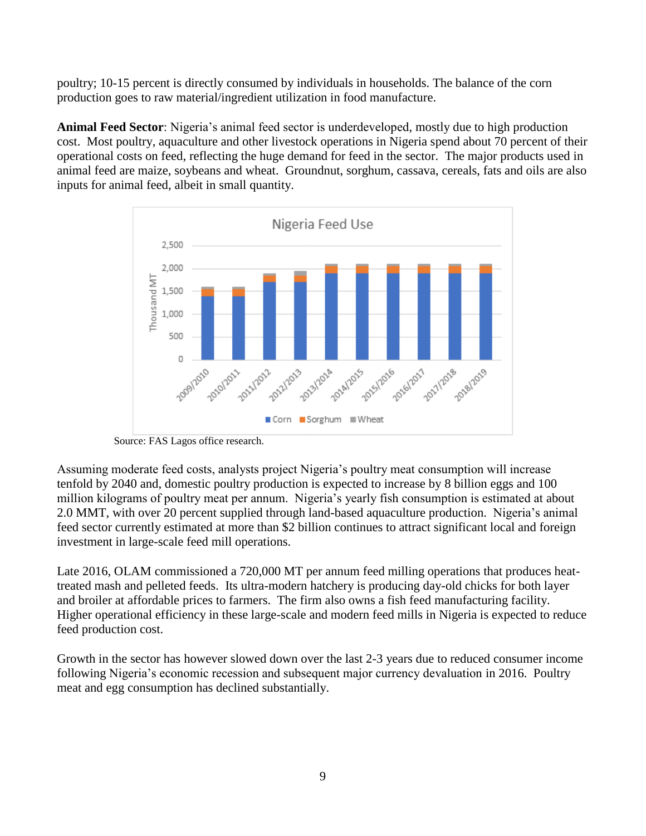poultry; 10-15 percent is directly consumed by individuals in households. The balance of the corn production goes to raw material/ingredient utilization in food manufacture.

**Animal Feed Sector**: Nigeria's animal feed sector is underdeveloped, mostly due to high production cost. Most poultry, aquaculture and other livestock operations in Nigeria spend about 70 percent of their operational costs on feed, reflecting the huge demand for feed in the sector. The major products used in animal feed are maize, soybeans and wheat. Groundnut, sorghum, cassava, cereals, fats and oils are also inputs for animal feed, albeit in small quantity.



Source: FAS Lagos office research.

Assuming moderate feed costs, analysts project Nigeria's poultry meat consumption will increase tenfold by 2040 and, domestic poultry production is expected to increase by 8 billion eggs and 100 million kilograms of poultry meat per annum. Nigeria's yearly fish consumption is estimated at about 2.0 MMT, with over 20 percent supplied through land-based aquaculture production. Nigeria's animal feed sector currently estimated at more than \$2 billion continues to attract significant local and foreign investment in large-scale feed mill operations.

Late 2016, OLAM commissioned a 720,000 MT per annum feed milling operations that produces heattreated mash and pelleted feeds. Its ultra-modern hatchery is producing day-old chicks for both layer and broiler at affordable prices to farmers. The firm also owns a fish feed manufacturing facility. Higher operational efficiency in these large-scale and modern feed mills in Nigeria is expected to reduce feed production cost.

Growth in the sector has however slowed down over the last 2-3 years due to reduced consumer income following Nigeria's economic recession and subsequent major currency devaluation in 2016. Poultry meat and egg consumption has declined substantially.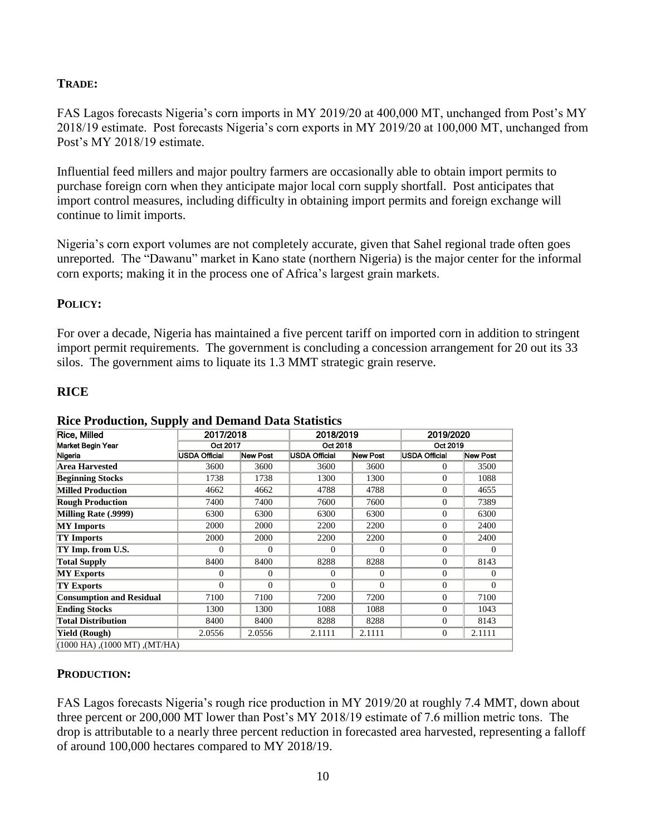## **TRADE:**

FAS Lagos forecasts Nigeria's corn imports in MY 2019/20 at 400,000 MT, unchanged from Post's MY 2018/19 estimate. Post forecasts Nigeria's corn exports in MY 2019/20 at 100,000 MT, unchanged from Post's MY 2018/19 estimate.

Influential feed millers and major poultry farmers are occasionally able to obtain import permits to purchase foreign corn when they anticipate major local corn supply shortfall. Post anticipates that import control measures, including difficulty in obtaining import permits and foreign exchange will continue to limit imports.

Nigeria's corn export volumes are not completely accurate, given that Sahel regional trade often goes unreported. The "Dawanu" market in Kano state (northern Nigeria) is the major center for the informal corn exports; making it in the process one of Africa's largest grain markets.

## **POLICY:**

For over a decade, Nigeria has maintained a five percent tariff on imported corn in addition to stringent import permit requirements. The government is concluding a concession arrangement for 20 out its 33 silos. The government aims to liquate its 1.3 MMT strategic grain reserve.

## **RICE**

| Rice, Milled                        |               | 2017/2018 |                      | 2018/2019 |                      | 2019/2020    |  |
|-------------------------------------|---------------|-----------|----------------------|-----------|----------------------|--------------|--|
| Market Begin Year                   | Oct 2017      |           | Oct 2018             |           | Oct 2019             |              |  |
| Nigeria                             | USDA Official | New Post  | <b>USDA Official</b> | New Post  | <b>USDA Official</b> | New Post     |  |
| Area Harvested                      | 3600          | 3600      | 3600                 | 3600      | 0                    | 3500         |  |
| <b>Beginning Stocks</b>             | 1738          | 1738      | 1300                 | 1300      | $\Omega$             | 1088         |  |
| <b>Milled Production</b>            | 4662          | 4662      | 4788                 | 4788      | $\mathbf{0}$         | 4655         |  |
| <b>Rough Production</b>             | 7400          | 7400      | 7600                 | 7600      | $\Omega$             | 7389         |  |
| Milling Rate (.9999)                | 6300          | 6300      | 6300                 | 6300      | $\mathbf{0}$         | 6300         |  |
| <b>MY</b> Imports                   | 2000          | 2000      | 2200                 | 2200      | $\theta$             | 2400         |  |
| TY Imports                          | 2000          | 2000      | 2200                 | 2200      | $\theta$             | 2400         |  |
| TY Imp. from U.S.                   | 0             | 0         | $\Omega$             | $\Omega$  | $\Omega$             | $\mathbf{0}$ |  |
| <b>Total Supply</b>                 | 8400          | 8400      | 8288                 | 8288      | $\mathbf{0}$         | 8143         |  |
| <b>MY Exports</b>                   | 0             | $\Omega$  | $\Omega$             | $\Omega$  | $\Omega$             | $\Omega$     |  |
| <b>TY Exports</b>                   | 0             | 0         | $\Omega$             | $\Omega$  | $\Omega$             | $\Omega$     |  |
| <b>Consumption and Residual</b>     | 7100          | 7100      | 7200                 | 7200      | $\mathbf{0}$         | 7100         |  |
| <b>Ending Stocks</b>                | 1300          | 1300      | 1088                 | 1088      | $\mathbf{0}$         | 1043         |  |
| <b>Total Distribution</b>           | 8400          | 8400      | 8288                 | 8288      | $\mathbf{0}$         | 8143         |  |
| Yield (Rough)                       | 2.0556        | 2.0556    | 2.1111               | 2.1111    | $\mathbf{0}$         | 2.1111       |  |
| $(1000$ HA), $(1000$ MT), $(MT/HA)$ |               |           |                      |           |                      |              |  |

## **Rice Production, Supply and Demand Data Statistics**

## **PRODUCTION:**

FAS Lagos forecasts Nigeria's rough rice production in MY 2019/20 at roughly 7.4 MMT, down about three percent or 200,000 MT lower than Post's MY 2018/19 estimate of 7.6 million metric tons. The drop is attributable to a nearly three percent reduction in forecasted area harvested, representing a falloff of around 100,000 hectares compared to MY 2018/19.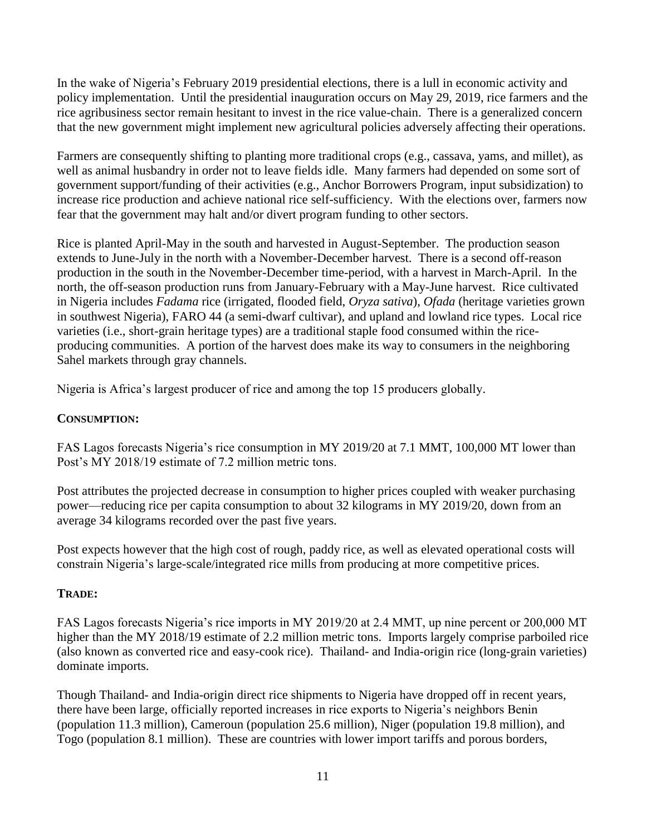In the wake of Nigeria's February 2019 presidential elections, there is a lull in economic activity and policy implementation. Until the presidential inauguration occurs on May 29, 2019, rice farmers and the rice agribusiness sector remain hesitant to invest in the rice value-chain. There is a generalized concern that the new government might implement new agricultural policies adversely affecting their operations.

Farmers are consequently shifting to planting more traditional crops (e.g., cassava, yams, and millet), as well as animal husbandry in order not to leave fields idle. Many farmers had depended on some sort of government support/funding of their activities (e.g., Anchor Borrowers Program, input subsidization) to increase rice production and achieve national rice self-sufficiency. With the elections over, farmers now fear that the government may halt and/or divert program funding to other sectors.

Rice is planted April-May in the south and harvested in August-September. The production season extends to June-July in the north with a November-December harvest. There is a second off-reason production in the south in the November-December time-period, with a harvest in March-April. In the north, the off-season production runs from January-February with a May-June harvest. Rice cultivated in Nigeria includes *Fadama* rice (irrigated, flooded field, *Oryza sativa*), *Ofada* (heritage varieties grown in southwest Nigeria), FARO 44 (a semi-dwarf cultivar), and upland and lowland rice types. Local rice varieties (i.e., short-grain heritage types) are a traditional staple food consumed within the riceproducing communities. A portion of the harvest does make its way to consumers in the neighboring Sahel markets through gray channels.

Nigeria is Africa's largest producer of rice and among the top 15 producers globally.

## **CONSUMPTION:**

FAS Lagos forecasts Nigeria's rice consumption in MY 2019/20 at 7.1 MMT, 100,000 MT lower than Post's MY 2018/19 estimate of 7.2 million metric tons.

Post attributes the projected decrease in consumption to higher prices coupled with weaker purchasing power—reducing rice per capita consumption to about 32 kilograms in MY 2019/20, down from an average 34 kilograms recorded over the past five years.

Post expects however that the high cost of rough, paddy rice, as well as elevated operational costs will constrain Nigeria's large-scale/integrated rice mills from producing at more competitive prices.

## **TRADE:**

FAS Lagos forecasts Nigeria's rice imports in MY 2019/20 at 2.4 MMT, up nine percent or 200,000 MT higher than the MY 2018/19 estimate of 2.2 million metric tons. Imports largely comprise parboiled rice (also known as converted rice and easy-cook rice). Thailand- and India-origin rice (long-grain varieties) dominate imports.

Though Thailand- and India-origin direct rice shipments to Nigeria have dropped off in recent years, there have been large, officially reported increases in rice exports to Nigeria's neighbors Benin (population 11.3 million), Cameroun (population 25.6 million), Niger (population 19.8 million), and Togo (population 8.1 million). These are countries with lower import tariffs and porous borders,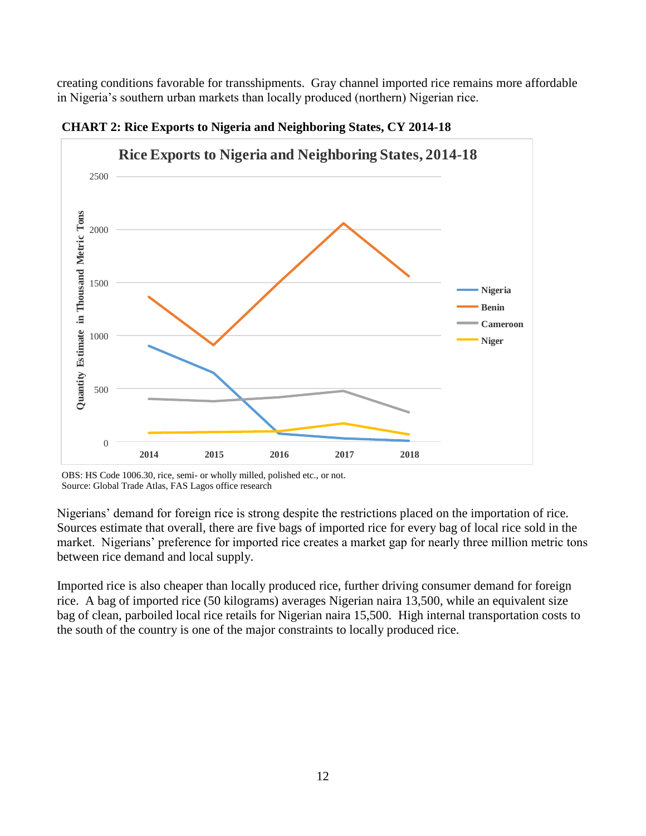creating conditions favorable for transshipments. Gray channel imported rice remains more affordable in Nigeria's southern urban markets than locally produced (northern) Nigerian rice.



**CHART 2: Rice Exports to Nigeria and Neighboring States, CY 2014-18**

OBS: HS Code 1006.30, rice, semi- or wholly milled, polished etc., or not. Source: Global Trade Atlas, FAS Lagos office research

Nigerians' demand for foreign rice is strong despite the restrictions placed on the importation of rice. Sources estimate that overall, there are five bags of imported rice for every bag of local rice sold in the market. Nigerians' preference for imported rice creates a market gap for nearly three million metric tons between rice demand and local supply.

Imported rice is also cheaper than locally produced rice, further driving consumer demand for foreign rice. A bag of imported rice (50 kilograms) averages Nigerian naira 13,500, while an equivalent size bag of clean, parboiled local rice retails for Nigerian naira 15,500. High internal transportation costs to the south of the country is one of the major constraints to locally produced rice.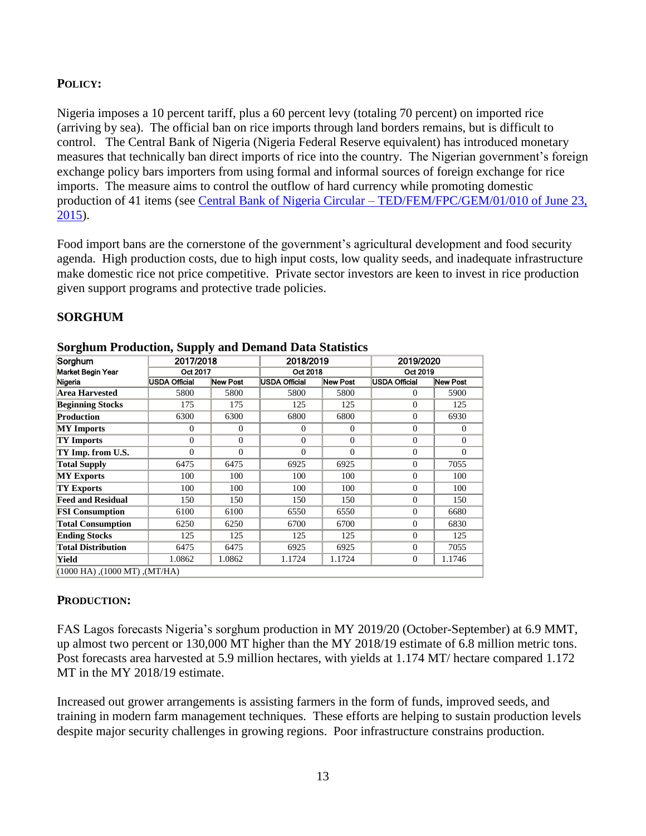## **POLICY:**

Nigeria imposes a 10 percent tariff, plus a 60 percent levy (totaling 70 percent) on imported rice (arriving by sea). The official ban on rice imports through land borders remains, but is difficult to control. The Central Bank of Nigeria (Nigeria Federal Reserve equivalent) has introduced monetary measures that technically ban direct imports of rice into the country. The Nigerian government's foreign exchange policy bars importers from using formal and informal sources of foreign exchange for rice imports. The measure aims to control the outflow of hard currency while promoting domestic production of 41 items (see Central Bank of Nigeria Circular – [TED/FEM/FPC/GEM/01/010 of June 23,](https://www.cbn.gov.ng/Out/2015/TED/TED.FEM.FPC.GEN.01.010.pdf)  [2015\)](https://www.cbn.gov.ng/Out/2015/TED/TED.FEM.FPC.GEN.01.010.pdf).

Food import bans are the cornerstone of the government's agricultural development and food security agenda. High production costs, due to high input costs, low quality seeds, and inadequate infrastructure make domestic rice not price competitive. Private sector investors are keen to invest in rice production given support programs and protective trade policies.

| <b>SORGHUM</b> |
|----------------|
|----------------|

| Sorghum                             | 2017/2018            |                 | 2018/2019            |                 | 2019/2020     |              |  |
|-------------------------------------|----------------------|-----------------|----------------------|-----------------|---------------|--------------|--|
| Market Begin Year                   | Oct 2017             |                 | Oct 2018             |                 | Oct 2019      |              |  |
| Nigeria                             | <b>USDA Official</b> | <b>New Post</b> | <b>USDA Official</b> | <b>New Post</b> | USDA Official | New Post     |  |
| Area Harvested                      | 5800                 | 5800            | 5800                 | 5800            | $\Omega$      | 5900         |  |
| <b>Beginning Stocks</b>             | 175                  | 175             | 125                  | 125             | $\Omega$      | 125          |  |
| Production                          | 6300                 | 6300            | 6800                 | 6800            | $\Omega$      | 6930         |  |
| <b>MY</b> Imports                   | $\mathbf{0}$         | $\overline{0}$  | $\Omega$             | $\overline{0}$  | $\Omega$      | $\mathbf{0}$ |  |
| <b>TY Imports</b>                   | $\Omega$             | $\mathbf{0}$    | $\Omega$             | $\mathbf{0}$    | $\Omega$      | $\mathbf{0}$ |  |
| TY Imp. from U.S.                   | $\Omega$             | $\theta$        | $\Omega$             | $\mathbf{0}$    | $\Omega$      | $\mathbf{0}$ |  |
| <b>Total Supply</b>                 | 6475                 | 6475            | 6925                 | 6925            | $\Omega$      | 7055         |  |
| <b>MY Exports</b>                   | 100                  | 100             | 100                  | 100             | $\Omega$      | 100          |  |
| <b>TY Exports</b>                   | 100                  | 100             | 100                  | 100             | $\Omega$      | 100          |  |
| <b>Feed and Residual</b>            | 150                  | 150             | 150                  | 150             | $\Omega$      | 150          |  |
| <b>FSI Consumption</b>              | 6100                 | 6100            | 6550                 | 6550            | $\Omega$      | 6680         |  |
| <b>Total Consumption</b>            | 6250                 | 6250            | 6700                 | 6700            | $\Omega$      | 6830         |  |
| <b>Ending Stocks</b>                | 125                  | 125             | 125                  | 125             | $\Omega$      | 125          |  |
| <b>Total Distribution</b>           | 6475                 | 6475            | 6925                 | 6925            | $\Omega$      | 7055         |  |
| Yield                               | 1.0862               | 1.0862          | 1.1724               | 1.1724          | $\Omega$      | 1.1746       |  |
| $(1000$ HA), $(1000$ MT), $(MT/HA)$ |                      |                 |                      |                 |               |              |  |

#### **Sorghum Production, Supply and Demand Data Statistics**

## **PRODUCTION:**

FAS Lagos forecasts Nigeria's sorghum production in MY 2019/20 (October-September) at 6.9 MMT, up almost two percent or 130,000 MT higher than the MY 2018/19 estimate of 6.8 million metric tons. Post forecasts area harvested at 5.9 million hectares, with yields at 1.174 MT/ hectare compared 1.172 MT in the MY 2018/19 estimate.

Increased out grower arrangements is assisting farmers in the form of funds, improved seeds, and training in modern farm management techniques. These efforts are helping to sustain production levels despite major security challenges in growing regions. Poor infrastructure constrains production.